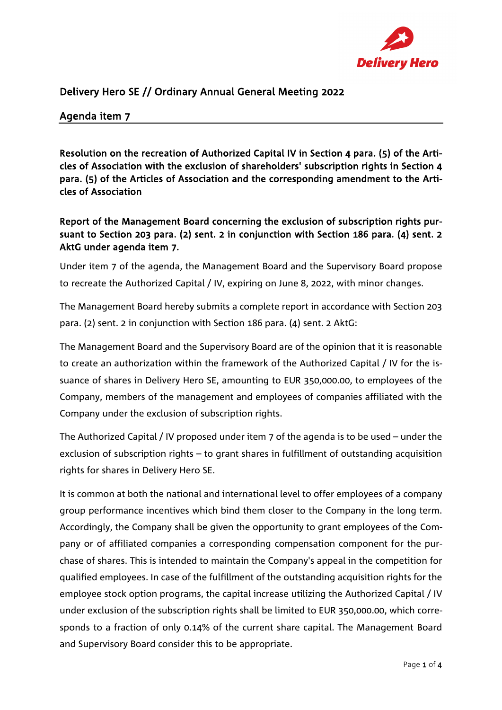

## Delivery Hero SE // Ordinary Annual General Meeting 2022

## Agenda item 7

Resolution on the recreation of Authorized Capital IV in Section 4 para. (5) of the Articles of Association with the exclusion of shareholders' subscription rights in Section 4 para. (5) of the Articles of Association and the corresponding amendment to the Articles of Association

Report of the Management Board concerning the exclusion of subscription rights pursuant to Section 203 para. (2) sent. 2 in conjunction with Section 186 para. (4) sent. 2 AktG under agenda item 7.

Under item 7 of the agenda, the Management Board and the Supervisory Board propose to recreate the Authorized Capital / IV, expiring on June 8, 2022, with minor changes.

The Management Board hereby submits a complete report in accordance with Section 203 para. (2) sent. 2 in conjunction with Section 186 para. (4) sent. 2 AktG:

The Management Board and the Supervisory Board are of the opinion that it is reasonable to create an authorization within the framework of the Authorized Capital / IV for the issuance of shares in Delivery Hero SE, amounting to EUR 350,000.00, to employees of the Company, members of the management and employees of companies affiliated with the Company under the exclusion of subscription rights.

The Authorized Capital / IV proposed under item 7 of the agenda is to be used – under the exclusion of subscription rights – to grant shares in fulfillment of outstanding acquisition rights for shares in Delivery Hero SE.

It is common at both the national and international level to offer employees of a company group performance incentives which bind them closer to the Company in the long term. Accordingly, the Company shall be given the opportunity to grant employees of the Company or of affiliated companies a corresponding compensation component for the purchase of shares. This is intended to maintain the Company's appeal in the competition for qualified employees. In case of the fulfillment of the outstanding acquisition rights for the employee stock option programs, the capital increase utilizing the Authorized Capital / IV under exclusion of the subscription rights shall be limited to EUR 350,000.00, which corresponds to a fraction of only 0.14% of the current share capital. The Management Board and Supervisory Board consider this to be appropriate.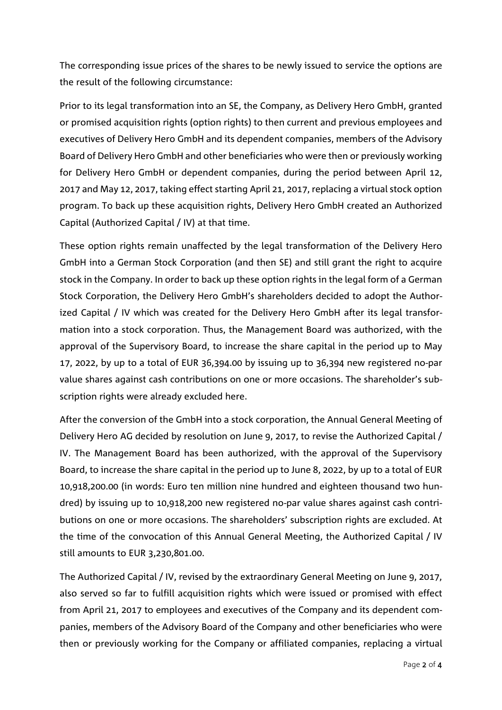The corresponding issue prices of the shares to be newly issued to service the options are the result of the following circumstance:

Prior to its legal transformation into an SE, the Company, as Delivery Hero GmbH, granted or promised acquisition rights (option rights) to then current and previous employees and executives of Delivery Hero GmbH and its dependent companies, members of the Advisory Board of Delivery Hero GmbH and other beneficiaries who were then or previously working for Delivery Hero GmbH or dependent companies, during the period between April 12, 2017 and May 12, 2017, taking effect starting April 21, 2017, replacing a virtual stock option program. To back up these acquisition rights, Delivery Hero GmbH created an Authorized Capital (Authorized Capital / IV) at that time.

These option rights remain unaffected by the legal transformation of the Delivery Hero GmbH into a German Stock Corporation (and then SE) and still grant the right to acquire stock in the Company. In order to back up these option rights in the legal form of a German Stock Corporation, the Delivery Hero GmbH's shareholders decided to adopt the Authorized Capital / IV which was created for the Delivery Hero GmbH after its legal transformation into a stock corporation. Thus, the Management Board was authorized, with the approval of the Supervisory Board, to increase the share capital in the period up to May 17, 2022, by up to a total of EUR 36,394.00 by issuing up to 36,394 new registered no-par value shares against cash contributions on one or more occasions. The shareholder's subscription rights were already excluded here.

After the conversion of the GmbH into a stock corporation, the Annual General Meeting of Delivery Hero AG decided by resolution on June 9, 2017, to revise the Authorized Capital / IV. The Management Board has been authorized, with the approval of the Supervisory Board, to increase the share capital in the period up to June 8, 2022, by up to a total of EUR 10,918,200.00 (in words: Euro ten million nine hundred and eighteen thousand two hundred) by issuing up to 10,918,200 new registered no-par value shares against cash contributions on one or more occasions. The shareholders' subscription rights are excluded. At the time of the convocation of this Annual General Meeting, the Authorized Capital / IV still amounts to EUR 3,230,801.00.

The Authorized Capital / IV, revised by the extraordinary General Meeting on June 9, 2017, also served so far to fulfill acquisition rights which were issued or promised with effect from April 21, 2017 to employees and executives of the Company and its dependent companies, members of the Advisory Board of the Company and other beneficiaries who were then or previously working for the Company or affiliated companies, replacing a virtual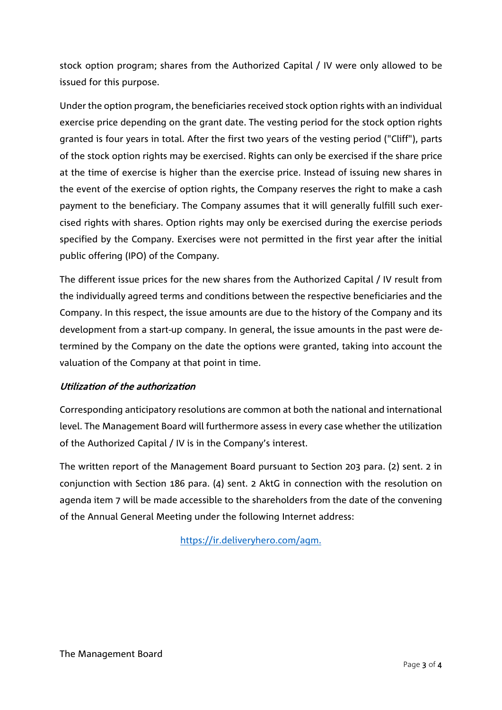stock option program; shares from the Authorized Capital / IV were only allowed to be issued for this purpose.

Under the option program, the beneficiaries received stock option rights with an individual exercise price depending on the grant date. The vesting period for the stock option rights granted is four years in total. After the first two years of the vesting period ("Cliff"), parts of the stock option rights may be exercised. Rights can only be exercised if the share price at the time of exercise is higher than the exercise price. Instead of issuing new shares in the event of the exercise of option rights, the Company reserves the right to make a cash payment to the beneficiary. The Company assumes that it will generally fulfill such exercised rights with shares. Option rights may only be exercised during the exercise periods specified by the Company. Exercises were not permitted in the first year after the initial public offering (IPO) of the Company.

The different issue prices for the new shares from the Authorized Capital / IV result from the individually agreed terms and conditions between the respective beneficiaries and the Company. In this respect, the issue amounts are due to the history of the Company and its development from a start-up company. In general, the issue amounts in the past were determined by the Company on the date the options were granted, taking into account the valuation of the Company at that point in time.

## Utilization of the authorization

Corresponding anticipatory resolutions are common at both the national and international level. The Management Board will furthermore assess in every case whether the utilization of the Authorized Capital / IV is in the Company's interest.

The written report of the Management Board pursuant to Section 203 para. (2) sent. 2 in conjunction with Section 186 para. (4) sent. 2 AktG in connection with the resolution on agenda item 7 will be made accessible to the shareholders from the date of the convening of the Annual General Meeting under the following Internet address:

[https://ir.deliveryhero.com/agm.](https://ir.deliveryhero.com/agm)